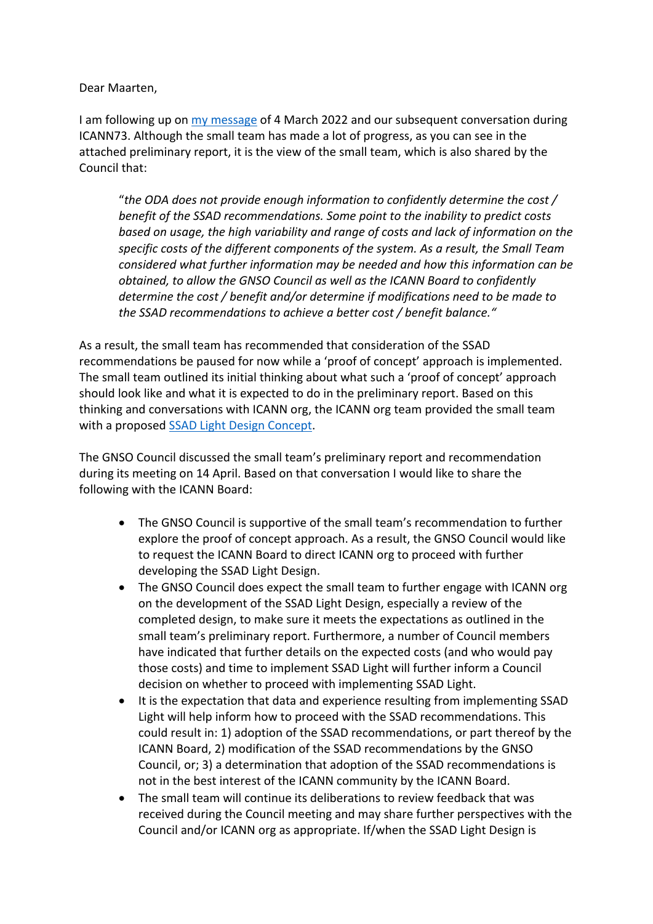Dear Maarten,

I am following up on my message of 4 March 2022 and our subsequent conversation during ICANN73. Although the small team has made a lot of progress, as you can see in the attached preliminary report, it is the view of the small team, which is also shared by the Council that:

"*the ODA does not provide enough information to confidently determine the cost / benefit of the SSAD recommendations. Some point to the inability to predict costs based on usage, the high variability and range of costs and lack of information on the specific costs of the different components of the system. As a result, the Small Team considered what further information may be needed and how this information can be obtained, to allow the GNSO Council as well as the ICANN Board to confidently determine the cost / benefit and/or determine if modifications need to be made to the SSAD recommendations to achieve a better cost / benefit balance."*

As a result, the small team has recommended that consideration of the SSAD recommendations be paused for now while a 'proof of concept' approach is implemented. The small team outlined its initial thinking about what such a 'proof of concept' approach should look like and what it is expected to do in the preliminary report. Based on this thinking and conversations with ICANN org, the ICANN org team provided the small team with a proposed **SSAD Light Design Concept**.

The GNSO Council discussed the small team's preliminary report and recommendation during its meeting on 14 April. Based on that conversation I would like to share the following with the ICANN Board:

- The GNSO Council is supportive of the small team's recommendation to further explore the proof of concept approach. As a result, the GNSO Council would like to request the ICANN Board to direct ICANN org to proceed with further developing the SSAD Light Design.
- The GNSO Council does expect the small team to further engage with ICANN org on the development of the SSAD Light Design, especially a review of the completed design, to make sure it meets the expectations as outlined in the small team's preliminary report. Furthermore, a number of Council members have indicated that further details on the expected costs (and who would pay those costs) and time to implement SSAD Light will further inform a Council decision on whether to proceed with implementing SSAD Light.
- It is the expectation that data and experience resulting from implementing SSAD Light will help inform how to proceed with the SSAD recommendations. This could result in: 1) adoption of the SSAD recommendations, or part thereof by the ICANN Board, 2) modification of the SSAD recommendations by the GNSO Council, or; 3) a determination that adoption of the SSAD recommendations is not in the best interest of the ICANN community by the ICANN Board.
- The small team will continue its deliberations to review feedback that was received during the Council meeting and may share further perspectives with the Council and/or ICANN org as appropriate. If/when the SSAD Light Design is